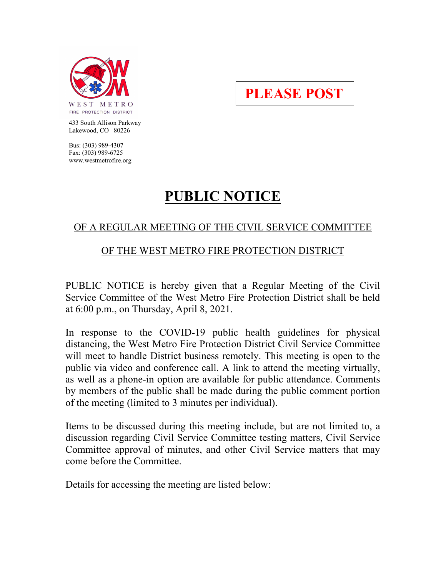

**PLEASE POST**

 433 South Allison Parkway Lakewood, CO 80226

 Bus: (303) 989-4307 Fax: (303) 989-6725 www.westmetrofire.org

## **PUBLIC NOTICE**

## OF A REGULAR MEETING OF THE CIVIL SERVICE COMMITTEE

## OF THE WEST METRO FIRE PROTECTION DISTRICT

PUBLIC NOTICE is hereby given that a Regular Meeting of the Civil Service Committee of the West Metro Fire Protection District shall be held at 6:00 p.m., on Thursday, April 8, 2021.

In response to the COVID-19 public health guidelines for physical distancing, the West Metro Fire Protection District Civil Service Committee will meet to handle District business remotely. This meeting is open to the public via video and conference call. A link to attend the meeting virtually, as well as a phone-in option are available for public attendance. Comments by members of the public shall be made during the public comment portion of the meeting (limited to 3 minutes per individual).

Items to be discussed during this meeting include, but are not limited to, a discussion regarding Civil Service Committee testing matters, Civil Service Committee approval of minutes, and other Civil Service matters that may come before the Committee.

Details for accessing the meeting are listed below: